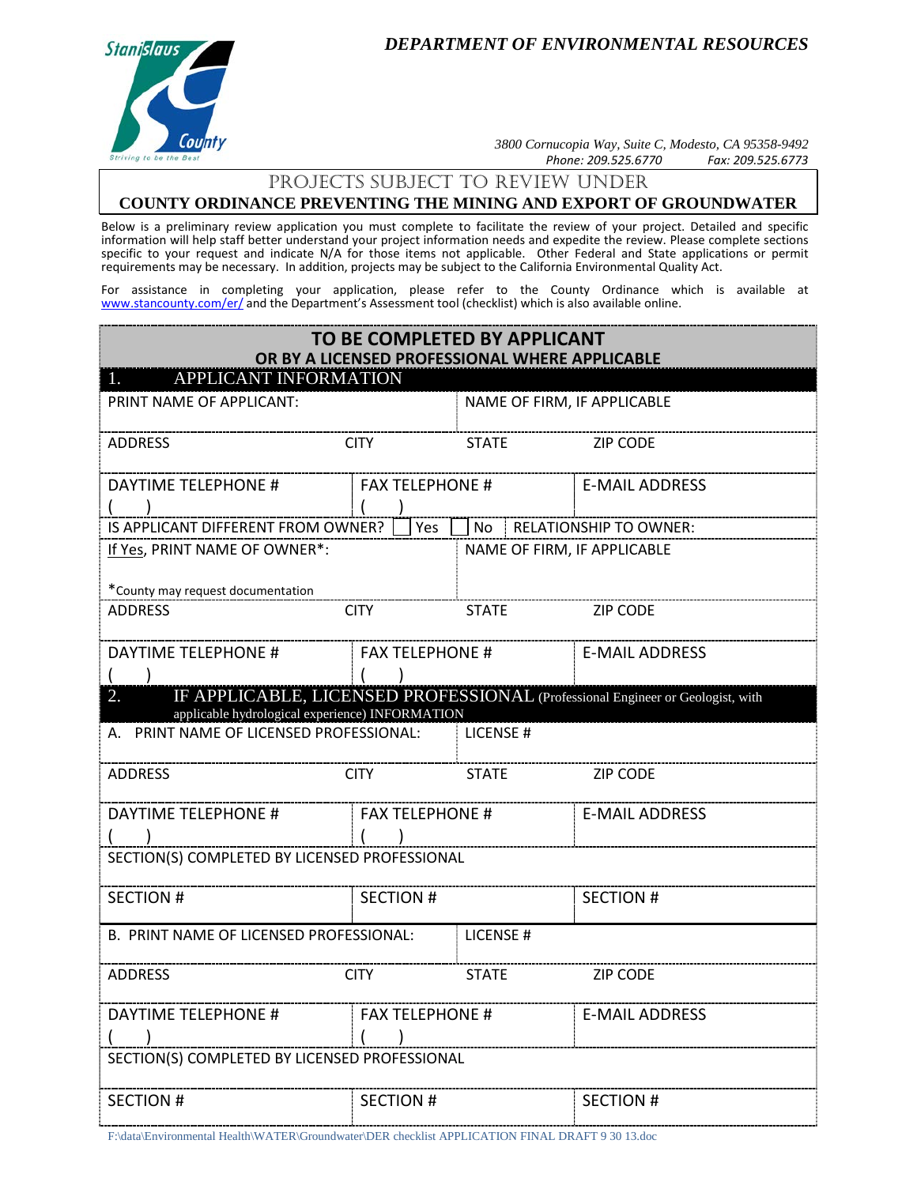*DEPARTMENT OF ENVIRONMENTAL RESOURCES*



*3800 Cornucopia Way, Suite C, Modesto, CA 95358-9492 Phone: 209.525.6770 Fax: 209.525.6773*

## PrOJECTS SUBJECT TO Review UNDER

# **COUNTY ORDINANCE PREVENTING THE MINING AND EXPORT OF GROUNDWATER**

Below is a preliminary review application you must complete to facilitate the review of your project. Detailed and specific information will help staff better understand your project information needs and expedite the review. Please complete sections specific to your request and indicate N/A for those items not applicable. Other Federal and State applications or permit requirements may be necessary. In addition, projects may be subject to the California Environmental Quality Act.

For assistance in completing your application, please refer to the County Ordinance which is available at [www.stancounty.com/er/](http://www.stancounty.com/er/) and the Department's Assessment tool (checklist) which is also available online.

| TO BE COMPLETED BY APPLICANT<br>OR BY A LICENSED PROFESSIONAL WHERE APPLICABLE                                                          |                        |                             |                           |  |
|-----------------------------------------------------------------------------------------------------------------------------------------|------------------------|-----------------------------|---------------------------|--|
| APPLICANT INFORMATION                                                                                                                   |                        |                             |                           |  |
| PRINT NAME OF APPLICANT:                                                                                                                |                        | NAME OF FIRM, IF APPLICABLE |                           |  |
| <b>ADDRESS</b>                                                                                                                          | <b>CITY</b>            | <b>STATE</b>                | <b>ZIP CODE</b>           |  |
| <b>DAYTIME TELEPHONE #</b>                                                                                                              | <b>FAX TELEPHONE #</b> |                             | <b>E-MAIL ADDRESS</b>     |  |
|                                                                                                                                         |                        |                             |                           |  |
| IS APPLICANT DIFFERENT FROM OWNER?<br>Yes                                                                                               |                        |                             | No RELATIONSHIP TO OWNER: |  |
| If Yes, PRINT NAME OF OWNER*:                                                                                                           |                        | NAME OF FIRM, IF APPLICABLE |                           |  |
| *County may request documentation                                                                                                       |                        |                             |                           |  |
| <b>ADDRESS</b>                                                                                                                          | <b>CITY</b>            | <b>STATE</b>                | <b>ZIP CODE</b>           |  |
| DAYTIME TELEPHONE #                                                                                                                     | <b>FAX TELEPHONE #</b> |                             | <b>E-MAIL ADDRESS</b>     |  |
|                                                                                                                                         |                        |                             |                           |  |
| IF APPLICABLE, LICENSED PROFESSIONAL (Professional Engineer or Geologist, with<br>2.<br>applicable hydrological experience) INFORMATION |                        |                             |                           |  |
| A. PRINT NAME OF LICENSED PROFESSIONAL:                                                                                                 |                        | LICENSE #                   |                           |  |
| <b>ADDRESS</b>                                                                                                                          | <b>CITY</b>            | <b>STATE</b>                | <b>ZIP CODE</b>           |  |
| <b>DAYTIME TELEPHONE #</b>                                                                                                              | <b>FAX TELEPHONE #</b> |                             | <b>E-MAIL ADDRESS</b>     |  |
| SECTION(S) COMPLETED BY LICENSED PROFESSIONAL                                                                                           |                        |                             |                           |  |
| <b>SECTION #</b>                                                                                                                        | <b>SECTION#</b>        |                             | <b>SECTION #</b>          |  |
| B. PRINT NAME OF LICENSED PROFESSIONAL:                                                                                                 |                        | LICENSE#                    |                           |  |
| <b>ADDRESS</b>                                                                                                                          | <b>CITY</b>            | <b>STATE</b>                | <b>ZIP CODE</b>           |  |
| DAYTIME TELEPHONE #<br>------------------------                                                                                         | <b>FAX TELEPHONE #</b> |                             | <b>E-MAIL ADDRESS</b>     |  |
| SECTION(S) COMPLETED BY LICENSED PROFESSIONAL                                                                                           |                        |                             |                           |  |
| <b>SECTION #</b>                                                                                                                        | <b>SECTION #</b>       |                             | <b>SECTION #</b>          |  |

F:\data\Environmental Health\WATER\Groundwater\DER checklist APPLICATION FINAL DRAFT 9 30 13.doc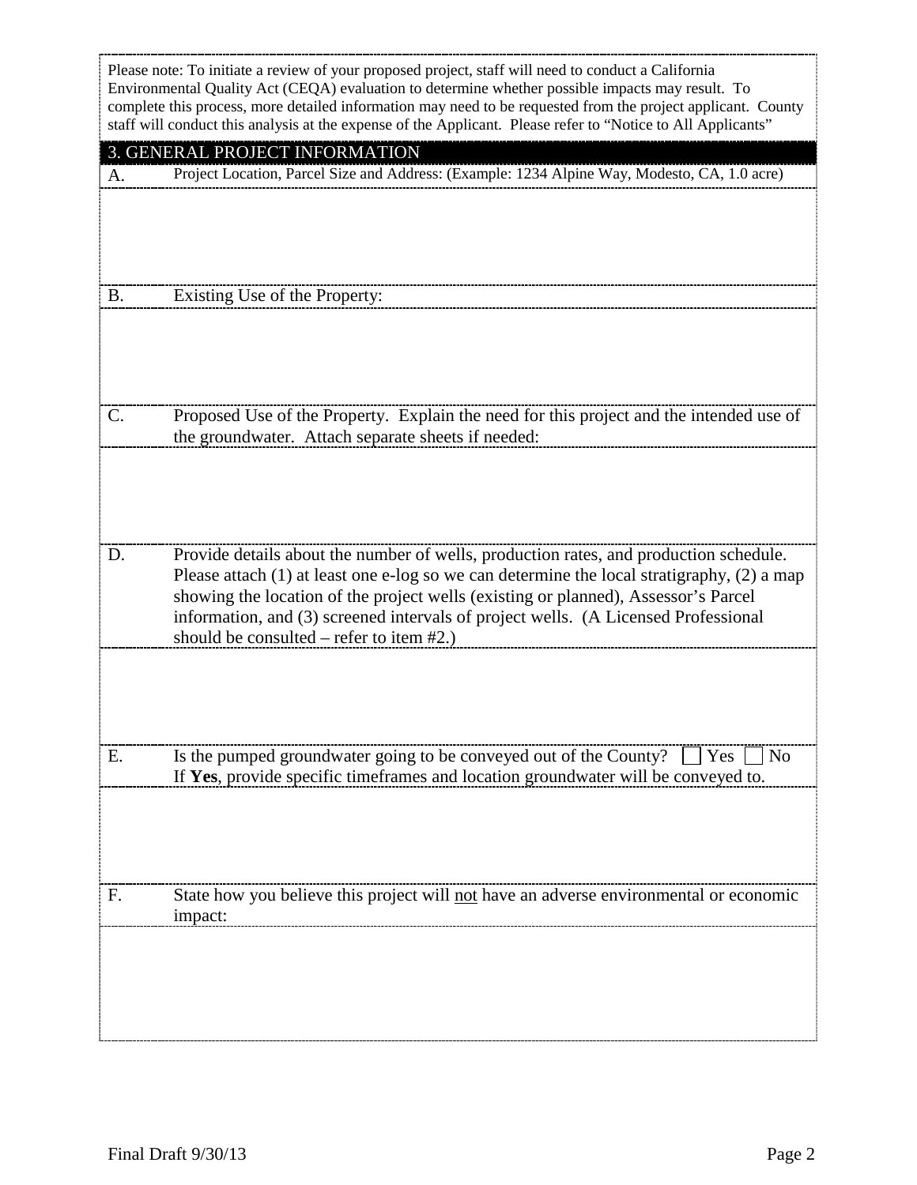|           | Please note: To initiate a review of your proposed project, staff will need to conduct a California<br>Environmental Quality Act (CEQA) evaluation to determine whether possible impacts may result. To<br>complete this process, more detailed information may need to be requested from the project applicant. County<br>staff will conduct this analysis at the expense of the Applicant. Please refer to "Notice to All Applicants" |
|-----------|-----------------------------------------------------------------------------------------------------------------------------------------------------------------------------------------------------------------------------------------------------------------------------------------------------------------------------------------------------------------------------------------------------------------------------------------|
|           | 3. GENERAL PROJECT INFORMATION                                                                                                                                                                                                                                                                                                                                                                                                          |
| A.        | Project Location, Parcel Size and Address: (Example: 1234 Alpine Way, Modesto, CA, 1.0 acre)                                                                                                                                                                                                                                                                                                                                            |
| <b>B.</b> | Existing Use of the Property:                                                                                                                                                                                                                                                                                                                                                                                                           |
|           |                                                                                                                                                                                                                                                                                                                                                                                                                                         |
| C.        | Proposed Use of the Property. Explain the need for this project and the intended use of<br>the groundwater. Attach separate sheets if needed:                                                                                                                                                                                                                                                                                           |
| D.        | Provide details about the number of wells, production rates, and production schedule.                                                                                                                                                                                                                                                                                                                                                   |
|           | Please attach $(1)$ at least one e-log so we can determine the local stratigraphy, $(2)$ a map<br>showing the location of the project wells (existing or planned), Assessor's Parcel<br>information, and (3) screened intervals of project wells. (A Licensed Professional<br>should be consulted – refer to item $#2$ .)                                                                                                               |
|           |                                                                                                                                                                                                                                                                                                                                                                                                                                         |
| Е.        | Is the pumped groundwater going to be conveyed out of the County?<br>  Yes<br>N <sub>0</sub><br>If Yes, provide specific timeframes and location groundwater will be conveyed to.                                                                                                                                                                                                                                                       |
|           |                                                                                                                                                                                                                                                                                                                                                                                                                                         |
| F.        | State how you believe this project will not have an adverse environmental or economic<br>impact:                                                                                                                                                                                                                                                                                                                                        |
|           |                                                                                                                                                                                                                                                                                                                                                                                                                                         |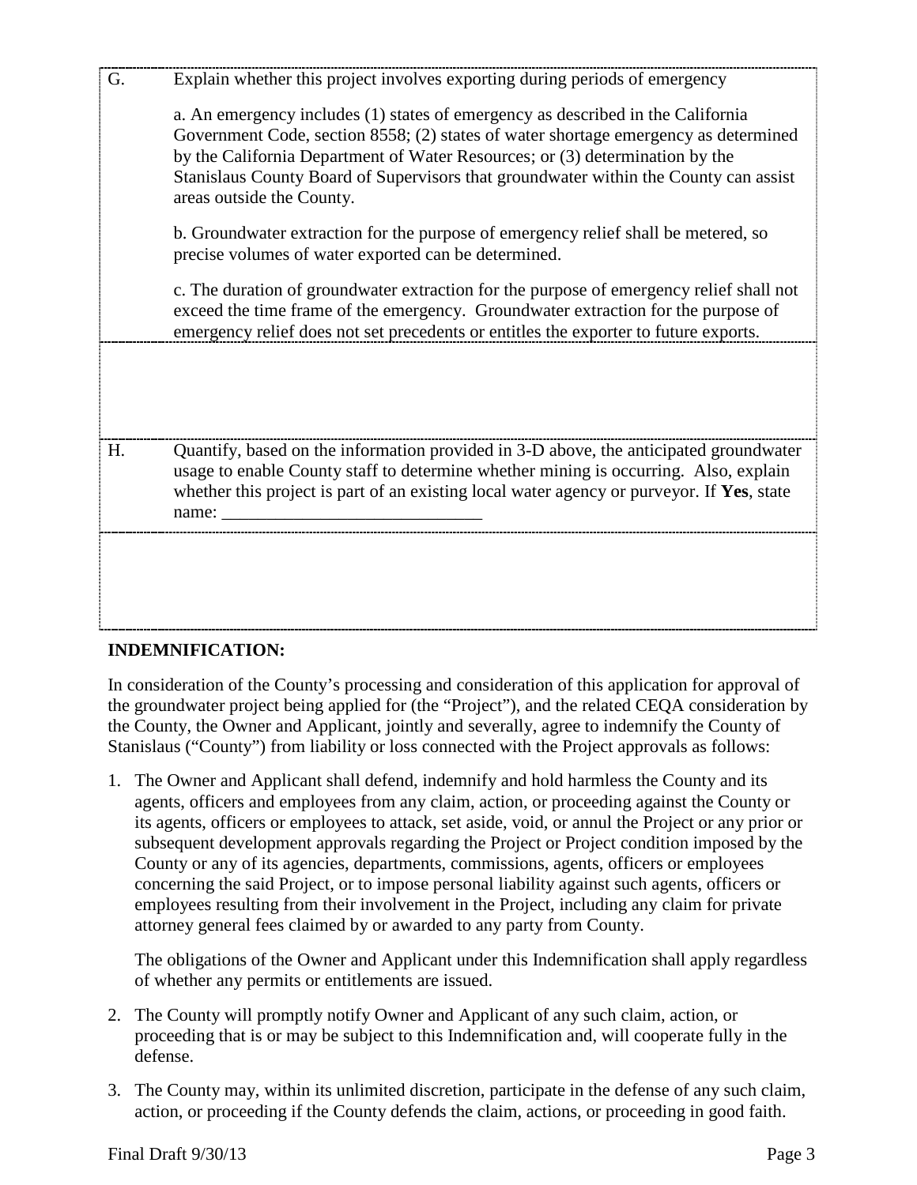| G. | Explain whether this project involves exporting during periods of emergency                                                                                                                                                                                                                                                                                                 |
|----|-----------------------------------------------------------------------------------------------------------------------------------------------------------------------------------------------------------------------------------------------------------------------------------------------------------------------------------------------------------------------------|
|    | a. An emergency includes (1) states of emergency as described in the California<br>Government Code, section 8558; (2) states of water shortage emergency as determined<br>by the California Department of Water Resources; or (3) determination by the<br>Stanislaus County Board of Supervisors that groundwater within the County can assist<br>areas outside the County. |
|    | b. Groundwater extraction for the purpose of emergency relief shall be metered, so<br>precise volumes of water exported can be determined.                                                                                                                                                                                                                                  |
|    | c. The duration of groundwater extraction for the purpose of emergency relief shall not<br>exceed the time frame of the emergency. Groundwater extraction for the purpose of<br>emergency relief does not set precedents or entitles the exporter to future exports.                                                                                                        |
|    |                                                                                                                                                                                                                                                                                                                                                                             |
| H. | Quantify, based on the information provided in 3-D above, the anticipated groundwater<br>usage to enable County staff to determine whether mining is occurring. Also, explain<br>whether this project is part of an existing local water agency or purveyor. If Yes, state<br>name:                                                                                         |
|    |                                                                                                                                                                                                                                                                                                                                                                             |
|    |                                                                                                                                                                                                                                                                                                                                                                             |

## **INDEMNIFICATION:**

In consideration of the County's processing and consideration of this application for approval of the groundwater project being applied for (the "Project"), and the related CEQA consideration by the County, the Owner and Applicant, jointly and severally, agree to indemnify the County of Stanislaus ("County") from liability or loss connected with the Project approvals as follows:

1. The Owner and Applicant shall defend, indemnify and hold harmless the County and its agents, officers and employees from any claim, action, or proceeding against the County or its agents, officers or employees to attack, set aside, void, or annul the Project or any prior or subsequent development approvals regarding the Project or Project condition imposed by the County or any of its agencies, departments, commissions, agents, officers or employees concerning the said Project, or to impose personal liability against such agents, officers or employees resulting from their involvement in the Project, including any claim for private attorney general fees claimed by or awarded to any party from County.

The obligations of the Owner and Applicant under this Indemnification shall apply regardless of whether any permits or entitlements are issued.

- 2. The County will promptly notify Owner and Applicant of any such claim, action, or proceeding that is or may be subject to this Indemnification and, will cooperate fully in the defense.
- 3. The County may, within its unlimited discretion, participate in the defense of any such claim, action, or proceeding if the County defends the claim, actions, or proceeding in good faith.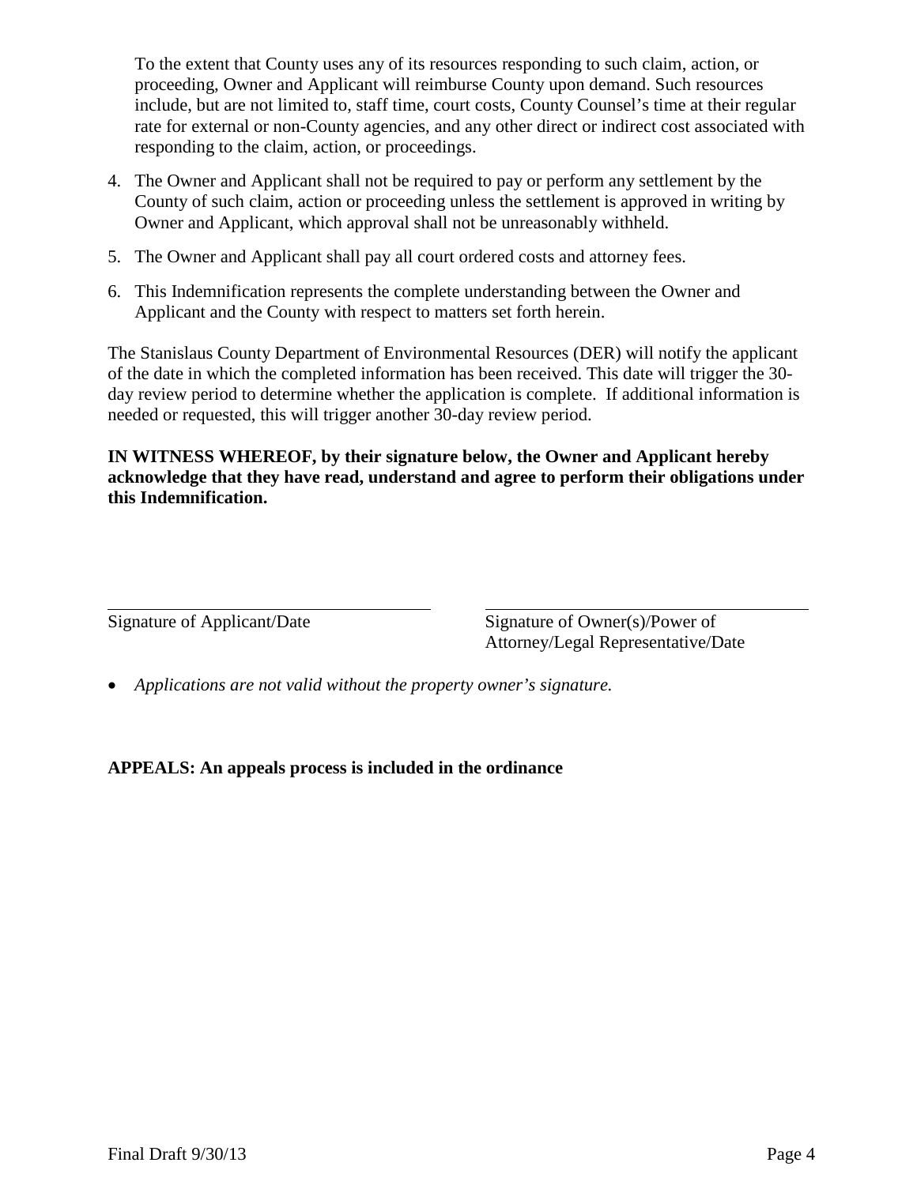To the extent that County uses any of its resources responding to such claim, action, or proceeding, Owner and Applicant will reimburse County upon demand. Such resources include, but are not limited to, staff time, court costs, County Counsel's time at their regular rate for external or non-County agencies, and any other direct or indirect cost associated with responding to the claim, action, or proceedings.

- 4. The Owner and Applicant shall not be required to pay or perform any settlement by the County of such claim, action or proceeding unless the settlement is approved in writing by Owner and Applicant, which approval shall not be unreasonably withheld.
- 5. The Owner and Applicant shall pay all court ordered costs and attorney fees.
- 6. This Indemnification represents the complete understanding between the Owner and Applicant and the County with respect to matters set forth herein.

The Stanislaus County Department of Environmental Resources (DER) will notify the applicant of the date in which the completed information has been received. This date will trigger the 30 day review period to determine whether the application is complete. If additional information is needed or requested, this will trigger another 30-day review period.

**IN WITNESS WHEREOF, by their signature below, the Owner and Applicant hereby acknowledge that they have read, understand and agree to perform their obligations under this Indemnification.**

 $\overline{\text{Signature of Applicant}/\text{Date}}$  Signature of Owner(s)/Power of Attorney/Legal Representative/Date

• *Applications are not valid without the property owner's signature.* 

**APPEALS: An appeals process is included in the ordinance**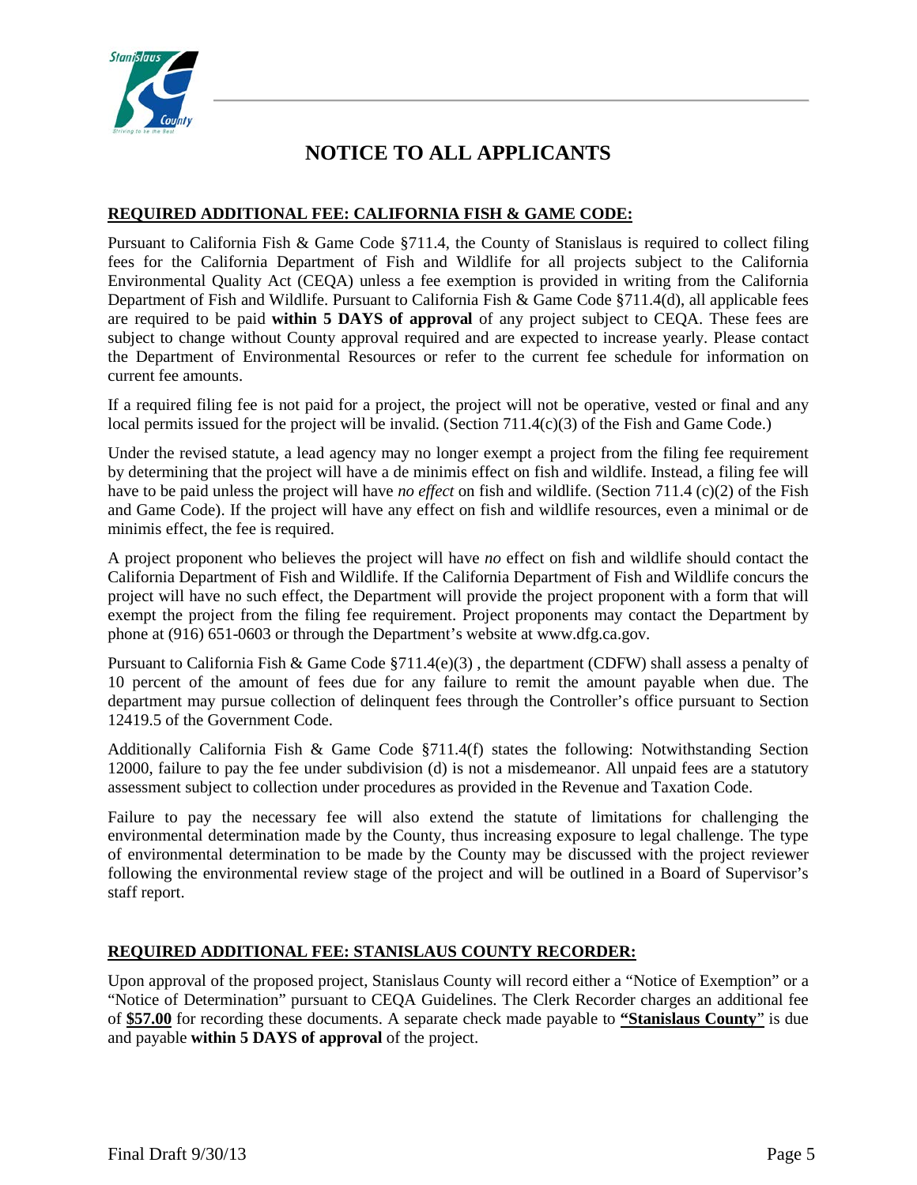

# **NOTICE TO ALL APPLICANTS**

## **REQUIRED ADDITIONAL FEE: CALIFORNIA FISH & GAME CODE:**

Pursuant to California Fish & Game Code §711.4, the County of Stanislaus is required to collect filing fees for the California Department of Fish and Wildlife for all projects subject to the California Environmental Quality Act (CEQA) unless a fee exemption is provided in writing from the California Department of Fish and Wildlife. Pursuant to California Fish & Game Code §711.4(d), all applicable fees are required to be paid **within 5 DAYS of approval** of any project subject to CEQA. These fees are subject to change without County approval required and are expected to increase yearly. Please contact the Department of Environmental Resources or refer to the current fee schedule for information on current fee amounts.

If a required filing fee is not paid for a project, the project will not be operative, vested or final and any local permits issued for the project will be invalid. (Section 711.4(c)(3) of the Fish and Game Code.)

Under the revised statute, a lead agency may no longer exempt a project from the filing fee requirement by determining that the project will have a de minimis effect on fish and wildlife. Instead, a filing fee will have to be paid unless the project will have *no effect* on fish and wildlife. (Section 711.4 (c)(2) of the Fish and Game Code). If the project will have any effect on fish and wildlife resources, even a minimal or de minimis effect, the fee is required.

A project proponent who believes the project will have *no* effect on fish and wildlife should contact the California Department of Fish and Wildlife. If the California Department of Fish and Wildlife concurs the project will have no such effect, the Department will provide the project proponent with a form that will exempt the project from the filing fee requirement. Project proponents may contact the Department by phone at (916) 651-0603 or through the Department's website at www.dfg.ca.gov.

Pursuant to California Fish & Game Code  $\S711.4(e)(3)$ , the department (CDFW) shall assess a penalty of 10 percent of the amount of fees due for any failure to remit the amount payable when due. The department may pursue collection of delinquent fees through the Controller's office pursuant to Section 12419.5 of the Government Code.

Additionally California Fish & Game Code §711.4(f) states the following: Notwithstanding Section 12000, failure to pay the fee under subdivision (d) is not a misdemeanor. All unpaid fees are a statutory assessment subject to collection under procedures as provided in the Revenue and Taxation Code.

Failure to pay the necessary fee will also extend the statute of limitations for challenging the environmental determination made by the County, thus increasing exposure to legal challenge. The type of environmental determination to be made by the County may be discussed with the project reviewer following the environmental review stage of the project and will be outlined in a Board of Supervisor's staff report.

#### **REQUIRED ADDITIONAL FEE: STANISLAUS COUNTY RECORDER:**

Upon approval of the proposed project, Stanislaus County will record either a "Notice of Exemption" or a "Notice of Determination" pursuant to CEQA Guidelines. The Clerk Recorder charges an additional fee of **\$57.00** for recording these documents. A separate check made payable to **"Stanislaus County**" is due and payable **within 5 DAYS of approval** of the project.